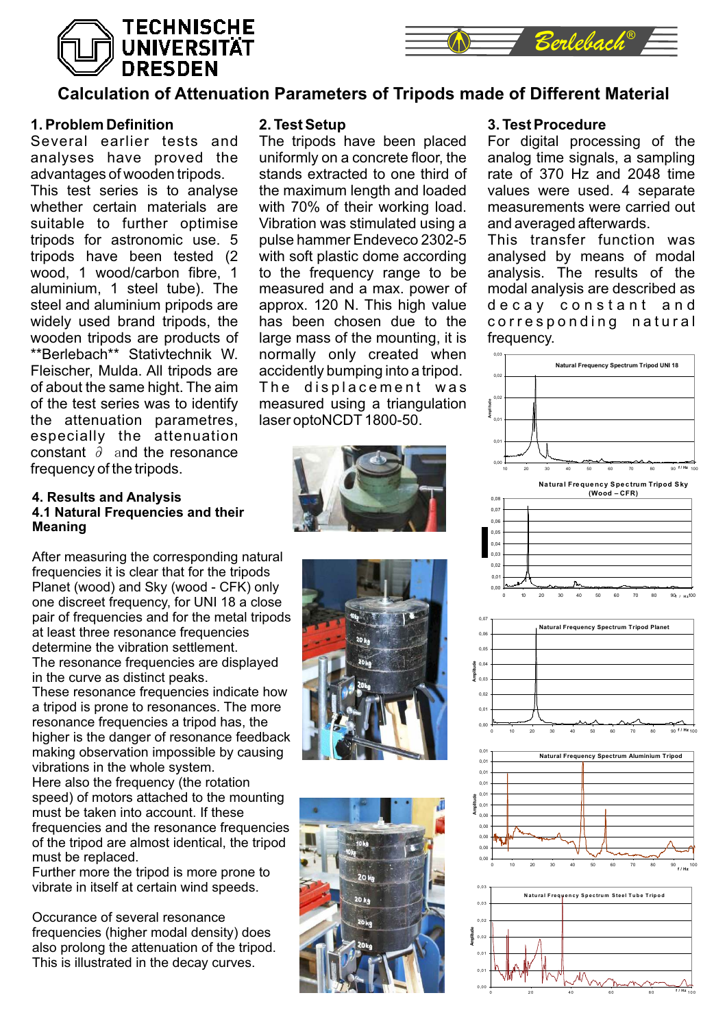# **TECHNISCHE UNIVERSITÄT DRESDEN**



## **Calculation of Attenuation Parameters of Tripods made of Different Material**

## **1. Problem Definition**

Several earlier tests and analyses have proved the advantages of wooden tripods. This test series is to analyse whether certain materials are suitable to further optimise tripods for astronomic use. 5 tripods have been tested (2 wood, 1 wood/carbon fibre, 1 aluminium, 1 steel tube). The steel and aluminium pripods are widely used brand tripods, the wooden tripods are products of \*\*Berlebach\*\* Stativtechnik W. Fleischer, Mulda. All tripods are of about the same hight. The aim of the test series was to identify the attenuation parametres, especially the attenuation constant ∂ and the resonance frequency of the tripods.

#### **4. Results and Analysis 4.1 Natural Frequencies and their Meaning**

After measuring the corresponding natural frequencies it is clear that for the tripods Planet (wood) and Sky (wood - CFK) only one discreet frequency, for UNI 18 a close pair of frequencies and for the metal tripods at least three resonance frequencies determine the vibration settlement. The resonance frequencies are displayed in the curve as distinct peaks.

These resonance frequencies indicate how a tripod is prone to resonances. The more resonance frequencies a tripod has, the higher is the danger of resonance feedback making observation impossible by causing vibrations in the whole system. Here also the frequency (the rotation

speed) of motors attached to the mounting must be taken into account. If these frequencies and the resonance frequencies of the tripod are almost identical, the tripod must be replaced.

Further more the tripod is more prone to vibrate in itself at certain wind speeds.

Occurance of several resonance frequencies (higher modal density) does also prolong the attenuation of the tripod. This is illustrated in the decay curves.

## **2. Test Setup**

The tripods have been placed uniformly on a concrete floor, the stands extracted to one third of the maximum length and loaded with 70% of their working load. Vibration was stimulated using a pulse hammer Endeveco 2302-5 with soft plastic dome according to the frequency range to be measured and a max. power of approx. 120 N. This high value has been chosen due to the large mass of the mounting, it is normally only created when accidently bumping into a tripod. The displacement was measured using a triangulation laser optoNCDT 1800-50.







## **3. Test Procedure**

For digital processing of the analog time signals, a sampling rate of 370 Hz and 2048 time values were used. 4 separate measurements were carried out and averaged afterwards.

This transfer function was analysed by means of modal analysis. The results of the modal analysis are described as decay constant and corresponding natural frequency.